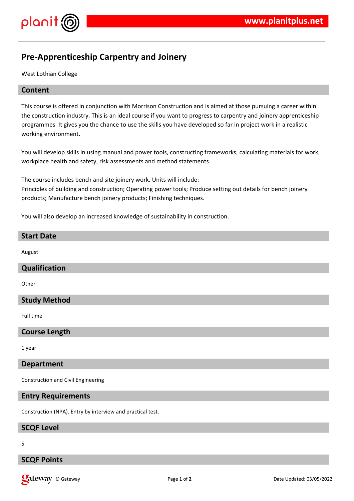

## **Pre-Apprenticeship Carpentry and Joinery**

West Lothian College

## **Content**

This course is offered in conjunction with Morrison Construction and is aimed at those pursuing a career within the construction industry. This is an ideal course if you want to progress to carpentry and joinery apprenticeship programmes. It gives you the chance to use the skills you have developed so far in project work in a realistic working environment.

You will develop skills in using manual and power tools, constructing frameworks, calculating materials for work, workplace health and safety, risk assessments and method statements.

The course includes bench and site joinery work. Units will include: Principles of building and construction; Operating power tools; Produce setting out details for bench joinery products; Manufacture bench joinery products; Finishing techniques.

You will also develop an increased knowledge of sustainability in construction.

# **Start Date** August **Qualification Other Study Method** Full time **Course Length** 1 year

## **Department**

Construction and Civil Engineering

## **Entry Requirements**

Construction (NPA). Entry by interview and practical test.

## **SCQF Level**

5

## **SCQF Points**